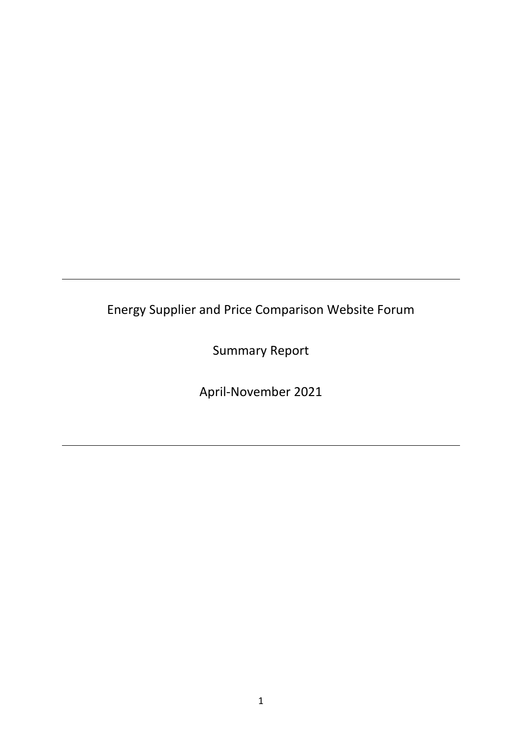Energy Supplier and Price Comparison Website Forum

Summary Report

April-November 2021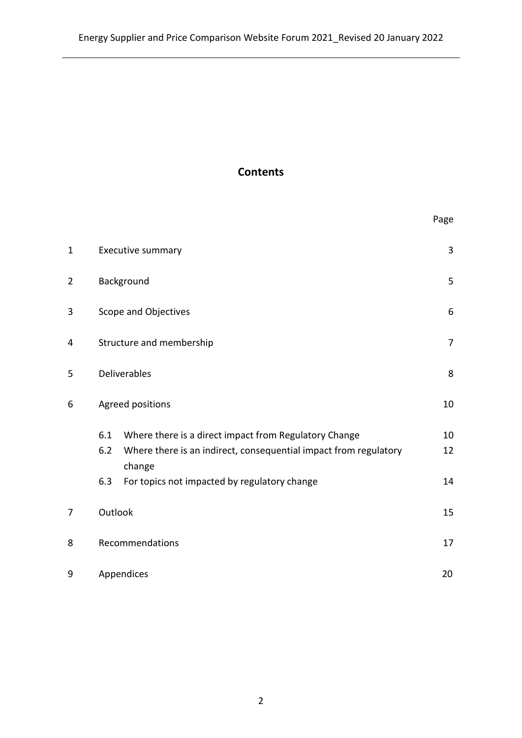# **Contents**

|                |                                                                                                                                                                                                          | Page           |
|----------------|----------------------------------------------------------------------------------------------------------------------------------------------------------------------------------------------------------|----------------|
| $\mathbf{1}$   | Executive summary                                                                                                                                                                                        | 3              |
| $\overline{2}$ | Background                                                                                                                                                                                               | 5              |
| 3              | Scope and Objectives                                                                                                                                                                                     | 6              |
| 4              | Structure and membership                                                                                                                                                                                 | $\overline{7}$ |
| 5              | <b>Deliverables</b>                                                                                                                                                                                      | 8              |
| 6              | Agreed positions                                                                                                                                                                                         | 10             |
|                | 6.1<br>Where there is a direct impact from Regulatory Change<br>6.2<br>Where there is an indirect, consequential impact from regulatory<br>change<br>6.3<br>For topics not impacted by regulatory change | 10<br>12<br>14 |
| 7              | Outlook                                                                                                                                                                                                  | 15             |
| 8              | Recommendations                                                                                                                                                                                          | 17             |
| 9              | Appendices                                                                                                                                                                                               | 20             |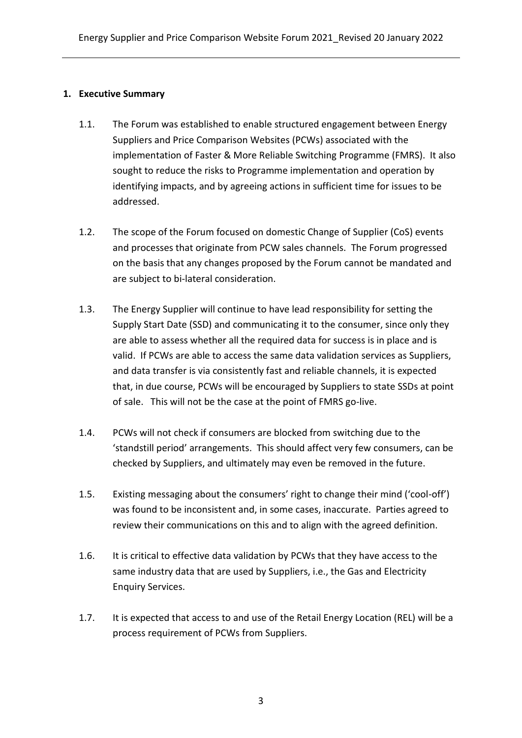#### **1. Executive Summary**

- 1.1. The Forum was established to enable structured engagement between Energy Suppliers and Price Comparison Websites (PCWs) associated with the implementation of Faster & More Reliable Switching Programme (FMRS). It also sought to reduce the risks to Programme implementation and operation by identifying impacts, and by agreeing actions in sufficient time for issues to be addressed.
- 1.2. The scope of the Forum focused on domestic Change of Supplier (CoS) events and processes that originate from PCW sales channels. The Forum progressed on the basis that any changes proposed by the Forum cannot be mandated and are subject to bi-lateral consideration.
- 1.3. The Energy Supplier will continue to have lead responsibility for setting the Supply Start Date (SSD) and communicating it to the consumer, since only they are able to assess whether all the required data for success is in place and is valid. If PCWs are able to access the same data validation services as Suppliers, and data transfer is via consistently fast and reliable channels, it is expected that, in due course, PCWs will be encouraged by Suppliers to state SSDs at point of sale. This will not be the case at the point of FMRS go-live.
- 1.4. PCWs will not check if consumers are blocked from switching due to the 'standstill period' arrangements. This should affect very few consumers, can be checked by Suppliers, and ultimately may even be removed in the future.
- 1.5. Existing messaging about the consumers' right to change their mind ('cool-off') was found to be inconsistent and, in some cases, inaccurate. Parties agreed to review their communications on this and to align with the agreed definition.
- 1.6. It is critical to effective data validation by PCWs that they have access to the same industry data that are used by Suppliers, i.e., the Gas and Electricity Enquiry Services.
- 1.7. It is expected that access to and use of the Retail Energy Location (REL) will be a process requirement of PCWs from Suppliers.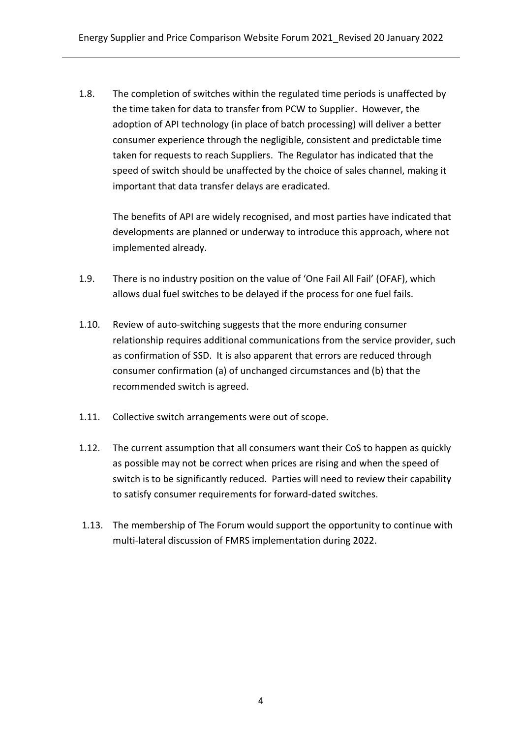1.8. The completion of switches within the regulated time periods is unaffected by the time taken for data to transfer from PCW to Supplier. However, the adoption of API technology (in place of batch processing) will deliver a better consumer experience through the negligible, consistent and predictable time taken for requests to reach Suppliers. The Regulator has indicated that the speed of switch should be unaffected by the choice of sales channel, making it important that data transfer delays are eradicated.

The benefits of API are widely recognised, and most parties have indicated that developments are planned or underway to introduce this approach, where not implemented already.

- 1.9. There is no industry position on the value of 'One Fail All Fail' (OFAF), which allows dual fuel switches to be delayed if the process for one fuel fails.
- 1.10. Review of auto-switching suggests that the more enduring consumer relationship requires additional communications from the service provider, such as confirmation of SSD. It is also apparent that errors are reduced through consumer confirmation (a) of unchanged circumstances and (b) that the recommended switch is agreed.
- 1.11. Collective switch arrangements were out of scope.
- 1.12. The current assumption that all consumers want their CoS to happen as quickly as possible may not be correct when prices are rising and when the speed of switch is to be significantly reduced. Parties will need to review their capability to satisfy consumer requirements for forward-dated switches.
- 1.13. The membership of The Forum would support the opportunity to continue with multi-lateral discussion of FMRS implementation during 2022.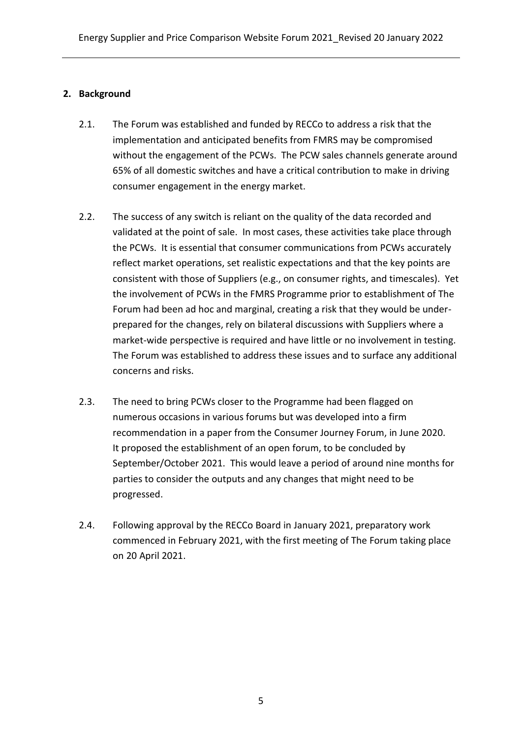### **2. Background**

- 2.1. The Forum was established and funded by RECCo to address a risk that the implementation and anticipated benefits from FMRS may be compromised without the engagement of the PCWs. The PCW sales channels generate around 65% of all domestic switches and have a critical contribution to make in driving consumer engagement in the energy market.
- 2.2. The success of any switch is reliant on the quality of the data recorded and validated at the point of sale. In most cases, these activities take place through the PCWs. It is essential that consumer communications from PCWs accurately reflect market operations, set realistic expectations and that the key points are consistent with those of Suppliers (e.g., on consumer rights, and timescales). Yet the involvement of PCWs in the FMRS Programme prior to establishment of The Forum had been ad hoc and marginal, creating a risk that they would be underprepared for the changes, rely on bilateral discussions with Suppliers where a market-wide perspective is required and have little or no involvement in testing. The Forum was established to address these issues and to surface any additional concerns and risks.
- 2.3. The need to bring PCWs closer to the Programme had been flagged on numerous occasions in various forums but was developed into a firm recommendation in a paper from the Consumer Journey Forum, in June 2020. It proposed the establishment of an open forum, to be concluded by September/October 2021. This would leave a period of around nine months for parties to consider the outputs and any changes that might need to be progressed.
- 2.4. Following approval by the RECCo Board in January 2021, preparatory work commenced in February 2021, with the first meeting of The Forum taking place on 20 April 2021.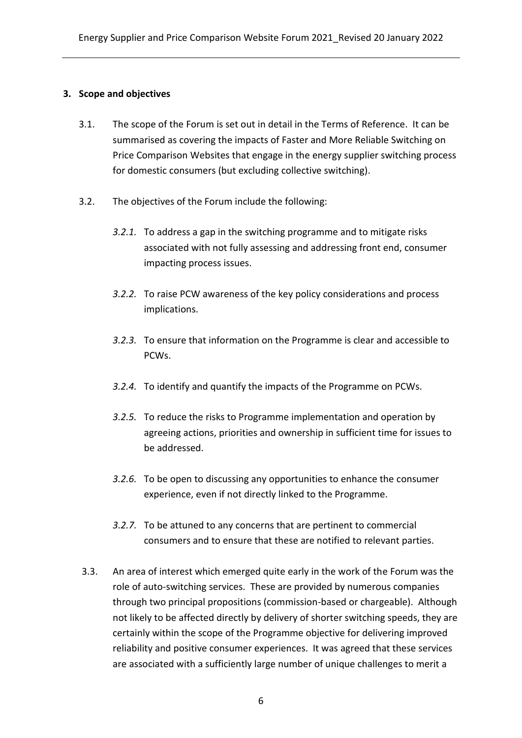#### **3. Scope and objectives**

- 3.1. The scope of the Forum is set out in detail in the Terms of Reference. It can be summarised as covering the impacts of Faster and More Reliable Switching on Price Comparison Websites that engage in the energy supplier switching process for domestic consumers (but excluding collective switching).
- 3.2. The objectives of the Forum include the following:
	- *3.2.1.* To address a gap in the switching programme and to mitigate risks associated with not fully assessing and addressing front end, consumer impacting process issues.
	- *3.2.2.* To raise PCW awareness of the key policy considerations and process implications.
	- *3.2.3.* To ensure that information on the Programme is clear and accessible to PCWs.
	- *3.2.4.* To identify and quantify the impacts of the Programme on PCWs.
	- *3.2.5.* To reduce the risks to Programme implementation and operation by agreeing actions, priorities and ownership in sufficient time for issues to be addressed.
	- *3.2.6.* To be open to discussing any opportunities to enhance the consumer experience, even if not directly linked to the Programme.
	- *3.2.7.* To be attuned to any concerns that are pertinent to commercial consumers and to ensure that these are notified to relevant parties.
- 3.3. An area of interest which emerged quite early in the work of the Forum was the role of auto-switching services. These are provided by numerous companies through two principal propositions (commission-based or chargeable). Although not likely to be affected directly by delivery of shorter switching speeds, they are certainly within the scope of the Programme objective for delivering improved reliability and positive consumer experiences. It was agreed that these services are associated with a sufficiently large number of unique challenges to merit a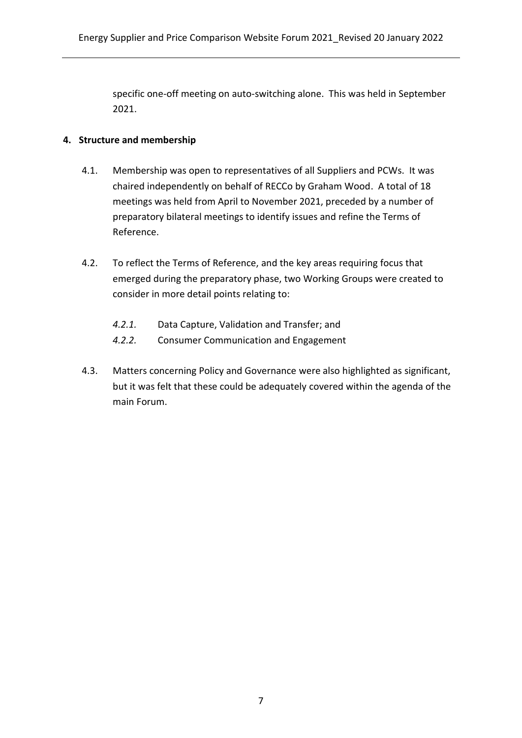specific one-off meeting on auto-switching alone. This was held in September 2021.

#### **4. Structure and membership**

- 4.1. Membership was open to representatives of all Suppliers and PCWs. It was chaired independently on behalf of RECCo by Graham Wood. A total of 18 meetings was held from April to November 2021, preceded by a number of preparatory bilateral meetings to identify issues and refine the Terms of Reference.
- 4.2. To reflect the Terms of Reference, and the key areas requiring focus that emerged during the preparatory phase, two Working Groups were created to consider in more detail points relating to:
	- *4.2.1.* Data Capture, Validation and Transfer; and
	- *4.2.2.* Consumer Communication and Engagement
- 4.3. Matters concerning Policy and Governance were also highlighted as significant, but it was felt that these could be adequately covered within the agenda of the main Forum.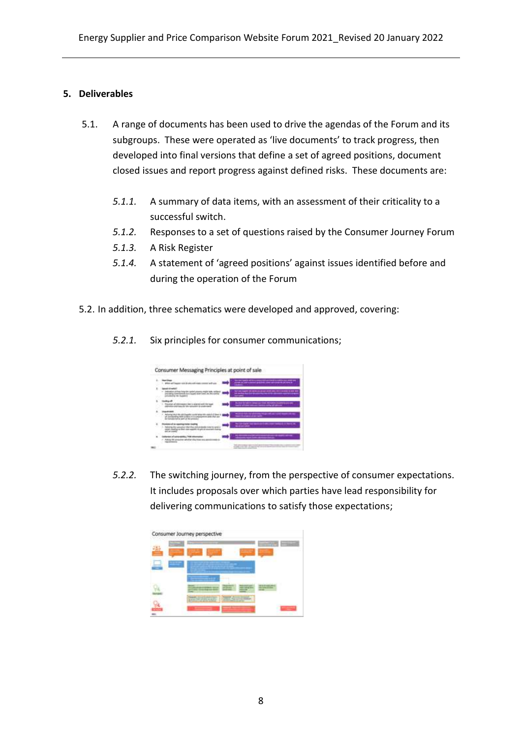#### **5. Deliverables**

- 5.1. A range of documents has been used to drive the agendas of the Forum and its subgroups. These were operated as 'live documents' to track progress, then developed into final versions that define a set of agreed positions, document closed issues and report progress against defined risks. These documents are:
	- *5.1.1.* A summary of data items, with an assessment of their criticality to a successful switch.
	- *5.1.2.* Responses to a set of questions raised by the Consumer Journey Forum
	- *5.1.3.* A Risk Register
	- *5.1.4.* A statement of 'agreed positions' against issues identified before and during the operation of the Forum
- 5.2. In addition, three schematics were developed and approved, covering:
	- *5.2.1.* Six principles for consumer communications;

| <b>Marketing</b>                                                                                                                                                           | <b><i><u>ETRICA ANNO PRESIDENTE DE CARDO DEL MODO</u></i></b><br>-------------------                                      |
|----------------------------------------------------------------------------------------------------------------------------------------------------------------------------|---------------------------------------------------------------------------------------------------------------------------|
| 49.4<br>on yak finasi ikong olee - ugotlerk posuannya megille dualea, metahun<br>ya kumentamoso ka sa a lauyuntu teneeri isuani ane, itto utush ka<br>Grand Art Art Avenue |                                                                                                                           |
|                                                                                                                                                                            | which has been compared and the habitat country to provide<br>and got players and control fundation conting to it special |
| testing particular decide                                                                                                                                                  | <b>Microsoft Administration (Inc.)</b><br>----------                                                                      |
| <b>MY-SILAR OF FRAUD</b>                                                                                                                                                   |                                                                                                                           |
| advaling tils places are up<br>The same of the state of the state<br>problems.                                                                                             | ومعقدة                                                                                                                    |
|                                                                                                                                                                            |                                                                                                                           |

*5.2.2.* The switching journey, from the perspective of consumer expectations. It includes proposals over which parties have lead responsibility for delivering communications to satisfy those expectations;

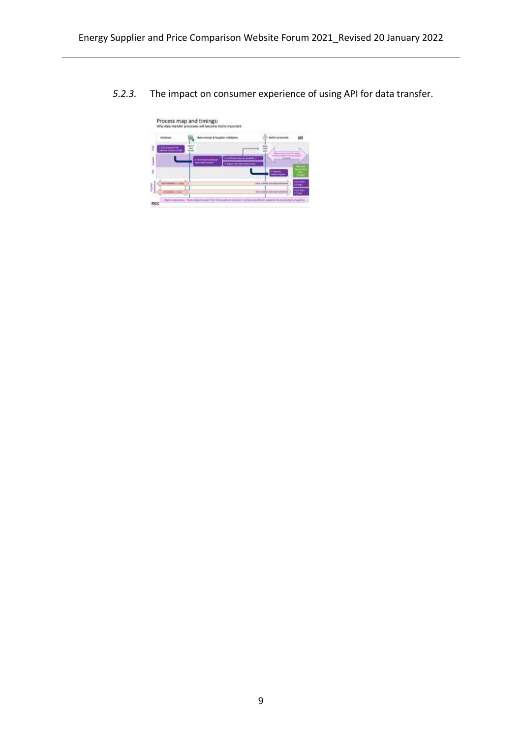*5.2.3.* The impact on consumer experience of using API for data transfer.

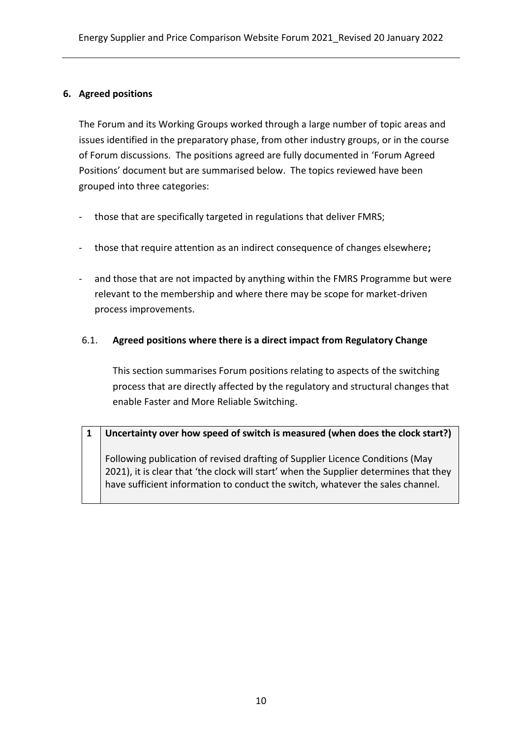### **6. Agreed positions**

The Forum and its Working Groups worked through a large number of topic areas and issues identified in the preparatory phase, from other industry groups, or in the course of Forum discussions. The positions agreed are fully documented in 'Forum Agreed Positions' document but are summarised below. The topics reviewed have been grouped into three categories:

- those that are specifically targeted in regulations that deliver FMRS;
- those that require attention as an indirect consequence of changes elsewhere**;**
- and those that are not impacted by anything within the FMRS Programme but were relevant to the membership and where there may be scope for market-driven process improvements.

# 6.1. **Agreed positions where there is a direct impact from Regulatory Change**

This section summarises Forum positions relating to aspects of the switching process that are directly affected by the regulatory and structural changes that enable Faster and More Reliable Switching.

### **1 Uncertainty over how speed of switch is measured (when does the clock start?)**

Following publication of revised drafting of Supplier Licence Conditions (May 2021), it is clear that 'the clock will start' when the Supplier determines that they have sufficient information to conduct the switch, whatever the sales channel.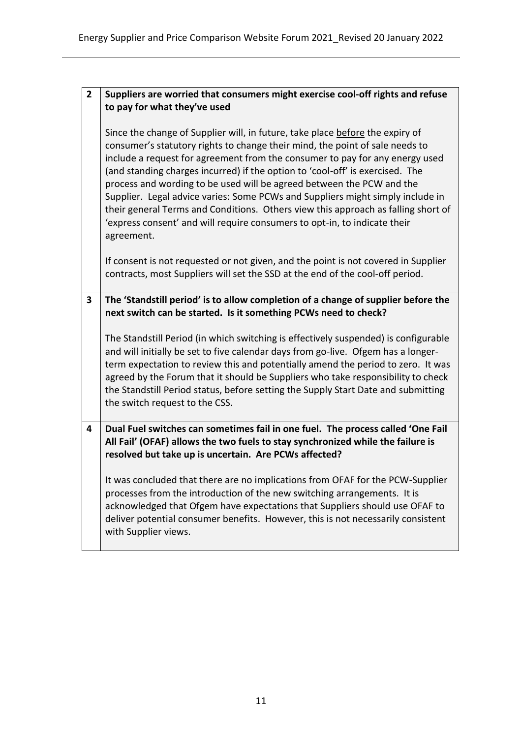| $\overline{2}$ | Suppliers are worried that consumers might exercise cool-off rights and refuse                                                                                                                                                                                                                                                                                                                                                                                                                                                                                                                                                                                            |
|----------------|---------------------------------------------------------------------------------------------------------------------------------------------------------------------------------------------------------------------------------------------------------------------------------------------------------------------------------------------------------------------------------------------------------------------------------------------------------------------------------------------------------------------------------------------------------------------------------------------------------------------------------------------------------------------------|
|                | to pay for what they've used                                                                                                                                                                                                                                                                                                                                                                                                                                                                                                                                                                                                                                              |
|                | Since the change of Supplier will, in future, take place before the expiry of<br>consumer's statutory rights to change their mind, the point of sale needs to<br>include a request for agreement from the consumer to pay for any energy used<br>(and standing charges incurred) if the option to 'cool-off' is exercised. The<br>process and wording to be used will be agreed between the PCW and the<br>Supplier. Legal advice varies: Some PCWs and Suppliers might simply include in<br>their general Terms and Conditions. Others view this approach as falling short of<br>'express consent' and will require consumers to opt-in, to indicate their<br>agreement. |
|                | If consent is not requested or not given, and the point is not covered in Supplier<br>contracts, most Suppliers will set the SSD at the end of the cool-off period.                                                                                                                                                                                                                                                                                                                                                                                                                                                                                                       |
| 3              | The 'Standstill period' is to allow completion of a change of supplier before the                                                                                                                                                                                                                                                                                                                                                                                                                                                                                                                                                                                         |
|                | next switch can be started. Is it something PCWs need to check?                                                                                                                                                                                                                                                                                                                                                                                                                                                                                                                                                                                                           |
|                | The Standstill Period (in which switching is effectively suspended) is configurable<br>and will initially be set to five calendar days from go-live. Ofgem has a longer-<br>term expectation to review this and potentially amend the period to zero. It was<br>agreed by the Forum that it should be Suppliers who take responsibility to check<br>the Standstill Period status, before setting the Supply Start Date and submitting<br>the switch request to the CSS.                                                                                                                                                                                                   |
| 4              | Dual Fuel switches can sometimes fail in one fuel. The process called 'One Fail<br>All Fail' (OFAF) allows the two fuels to stay synchronized while the failure is<br>resolved but take up is uncertain. Are PCWs affected?                                                                                                                                                                                                                                                                                                                                                                                                                                               |
|                | It was concluded that there are no implications from OFAF for the PCW-Supplier<br>processes from the introduction of the new switching arrangements. It is<br>acknowledged that Ofgem have expectations that Suppliers should use OFAF to<br>deliver potential consumer benefits. However, this is not necessarily consistent<br>with Supplier views.                                                                                                                                                                                                                                                                                                                     |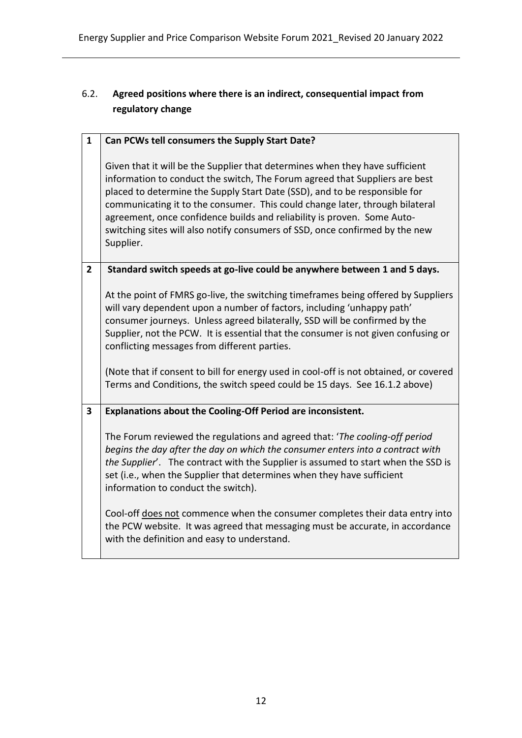# 6.2. **Agreed positions where there is an indirect, consequential impact from regulatory change**

| $\mathbf{1}$   | Can PCWs tell consumers the Supply Start Date?                                                                                                                                                                                                                                                                                                                                                                                                                                                    |
|----------------|---------------------------------------------------------------------------------------------------------------------------------------------------------------------------------------------------------------------------------------------------------------------------------------------------------------------------------------------------------------------------------------------------------------------------------------------------------------------------------------------------|
|                | Given that it will be the Supplier that determines when they have sufficient<br>information to conduct the switch, The Forum agreed that Suppliers are best<br>placed to determine the Supply Start Date (SSD), and to be responsible for<br>communicating it to the consumer. This could change later, through bilateral<br>agreement, once confidence builds and reliability is proven. Some Auto-<br>switching sites will also notify consumers of SSD, once confirmed by the new<br>Supplier. |
| $\overline{2}$ | Standard switch speeds at go-live could be anywhere between 1 and 5 days.                                                                                                                                                                                                                                                                                                                                                                                                                         |
|                | At the point of FMRS go-live, the switching timeframes being offered by Suppliers<br>will vary dependent upon a number of factors, including 'unhappy path'<br>consumer journeys. Unless agreed bilaterally, SSD will be confirmed by the<br>Supplier, not the PCW. It is essential that the consumer is not given confusing or<br>conflicting messages from different parties.                                                                                                                   |
|                | (Note that if consent to bill for energy used in cool-off is not obtained, or covered<br>Terms and Conditions, the switch speed could be 15 days. See 16.1.2 above)                                                                                                                                                                                                                                                                                                                               |
| 3              | Explanations about the Cooling-Off Period are inconsistent.                                                                                                                                                                                                                                                                                                                                                                                                                                       |
|                | The Forum reviewed the regulations and agreed that: 'The cooling-off period<br>begins the day after the day on which the consumer enters into a contract with<br>the Supplier'. The contract with the Supplier is assumed to start when the SSD is<br>set (i.e., when the Supplier that determines when they have sufficient<br>information to conduct the switch).                                                                                                                               |
|                | Cool-off does not commence when the consumer completes their data entry into<br>the PCW website. It was agreed that messaging must be accurate, in accordance<br>with the definition and easy to understand.                                                                                                                                                                                                                                                                                      |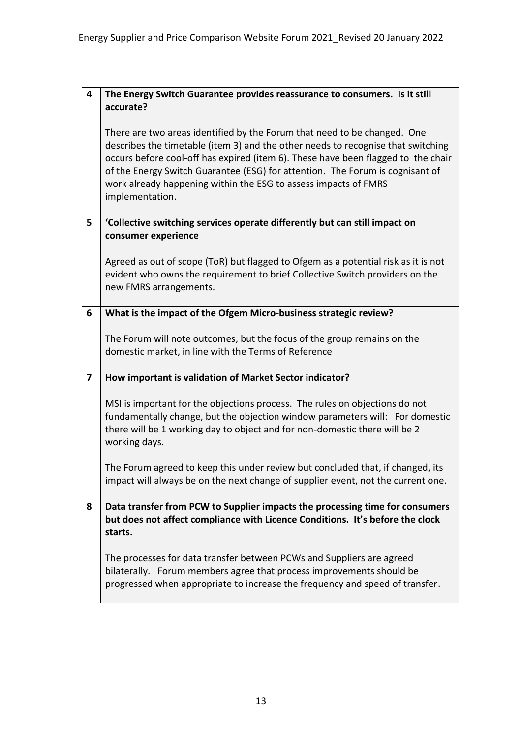| $\overline{\mathbf{4}}$ | The Energy Switch Guarantee provides reassurance to consumers. Is it still                                                                                                                                                                                                                                                                                                                                               |
|-------------------------|--------------------------------------------------------------------------------------------------------------------------------------------------------------------------------------------------------------------------------------------------------------------------------------------------------------------------------------------------------------------------------------------------------------------------|
|                         | accurate?                                                                                                                                                                                                                                                                                                                                                                                                                |
|                         | There are two areas identified by the Forum that need to be changed. One<br>describes the timetable (item 3) and the other needs to recognise that switching<br>occurs before cool-off has expired (item 6). These have been flagged to the chair<br>of the Energy Switch Guarantee (ESG) for attention. The Forum is cognisant of<br>work already happening within the ESG to assess impacts of FMRS<br>implementation. |
| 5                       | 'Collective switching services operate differently but can still impact on<br>consumer experience                                                                                                                                                                                                                                                                                                                        |
|                         | Agreed as out of scope (ToR) but flagged to Ofgem as a potential risk as it is not<br>evident who owns the requirement to brief Collective Switch providers on the<br>new FMRS arrangements.                                                                                                                                                                                                                             |
| 6                       | What is the impact of the Ofgem Micro-business strategic review?                                                                                                                                                                                                                                                                                                                                                         |
|                         | The Forum will note outcomes, but the focus of the group remains on the<br>domestic market, in line with the Terms of Reference                                                                                                                                                                                                                                                                                          |
| $\overline{\mathbf{z}}$ | How important is validation of Market Sector indicator?                                                                                                                                                                                                                                                                                                                                                                  |
|                         | MSI is important for the objections process. The rules on objections do not<br>fundamentally change, but the objection window parameters will: For domestic<br>there will be 1 working day to object and for non-domestic there will be 2<br>working days.                                                                                                                                                               |
|                         | The Forum agreed to keep this under review but concluded that, if changed, its<br>impact will always be on the next change of supplier event, not the current one.                                                                                                                                                                                                                                                       |
| 8                       | Data transfer from PCW to Supplier impacts the processing time for consumers<br>but does not affect compliance with Licence Conditions. It's before the clock<br>starts.                                                                                                                                                                                                                                                 |
|                         | The processes for data transfer between PCWs and Suppliers are agreed<br>bilaterally. Forum members agree that process improvements should be<br>progressed when appropriate to increase the frequency and speed of transfer.                                                                                                                                                                                            |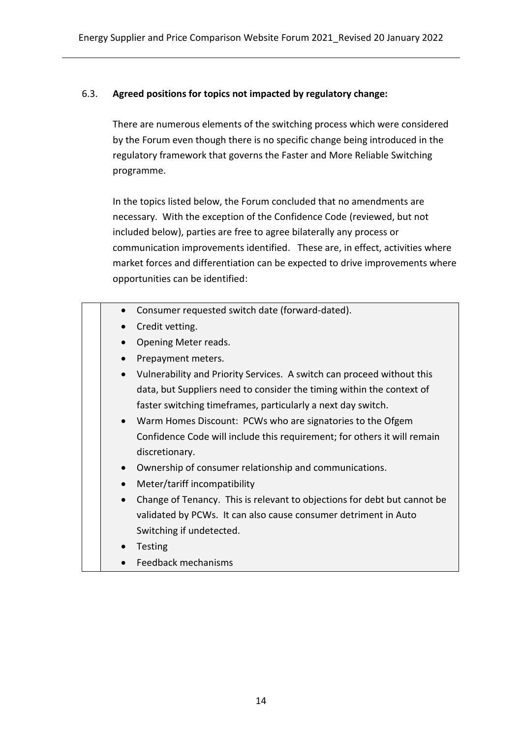#### 6.3. **Agreed positions for topics not impacted by regulatory change:**

There are numerous elements of the switching process which were considered by the Forum even though there is no specific change being introduced in the regulatory framework that governs the Faster and More Reliable Switching programme.

In the topics listed below, the Forum concluded that no amendments are necessary. With the exception of the Confidence Code (reviewed, but not included below), parties are free to agree bilaterally any process or communication improvements identified. These are, in effect, activities where market forces and differentiation can be expected to drive improvements where opportunities can be identified:

- Consumer requested switch date (forward-dated).
- Credit vetting.
- Opening Meter reads.
- Prepayment meters.
- Vulnerability and Priority Services. A switch can proceed without this data, but Suppliers need to consider the timing within the context of faster switching timeframes, particularly a next day switch.
- Warm Homes Discount: PCWs who are signatories to the Ofgem Confidence Code will include this requirement; for others it will remain discretionary.
- Ownership of consumer relationship and communications.
- Meter/tariff incompatibility
- Change of Tenancy. This is relevant to objections for debt but cannot be validated by PCWs. It can also cause consumer detriment in Auto Switching if undetected.
- Testing
- Feedback mechanisms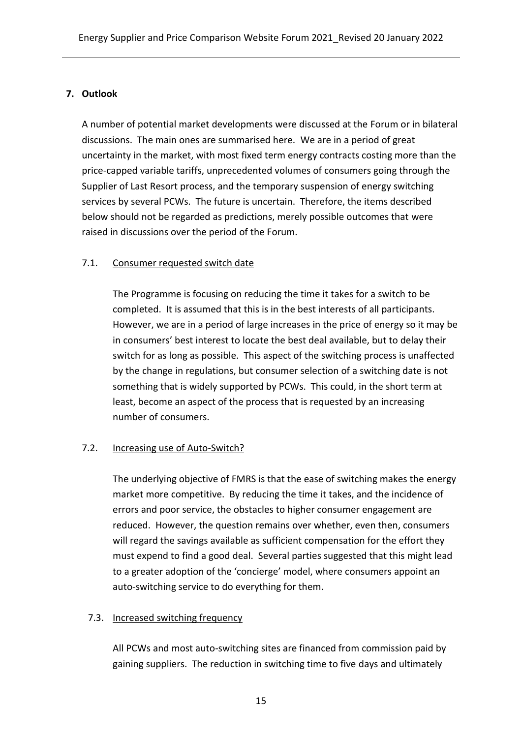# **7. Outlook**

A number of potential market developments were discussed at the Forum or in bilateral discussions. The main ones are summarised here. We are in a period of great uncertainty in the market, with most fixed term energy contracts costing more than the price-capped variable tariffs, unprecedented volumes of consumers going through the Supplier of Last Resort process, and the temporary suspension of energy switching services by several PCWs. The future is uncertain. Therefore, the items described below should not be regarded as predictions, merely possible outcomes that were raised in discussions over the period of the Forum.

#### 7.1. Consumer requested switch date

The Programme is focusing on reducing the time it takes for a switch to be completed. It is assumed that this is in the best interests of all participants. However, we are in a period of large increases in the price of energy so it may be in consumers' best interest to locate the best deal available, but to delay their switch for as long as possible. This aspect of the switching process is unaffected by the change in regulations, but consumer selection of a switching date is not something that is widely supported by PCWs. This could, in the short term at least, become an aspect of the process that is requested by an increasing number of consumers.

#### 7.2. Increasing use of Auto-Switch?

The underlying objective of FMRS is that the ease of switching makes the energy market more competitive. By reducing the time it takes, and the incidence of errors and poor service, the obstacles to higher consumer engagement are reduced. However, the question remains over whether, even then, consumers will regard the savings available as sufficient compensation for the effort they must expend to find a good deal. Several parties suggested that this might lead to a greater adoption of the 'concierge' model, where consumers appoint an auto-switching service to do everything for them.

# 7.3. Increased switching frequency

All PCWs and most auto-switching sites are financed from commission paid by gaining suppliers. The reduction in switching time to five days and ultimately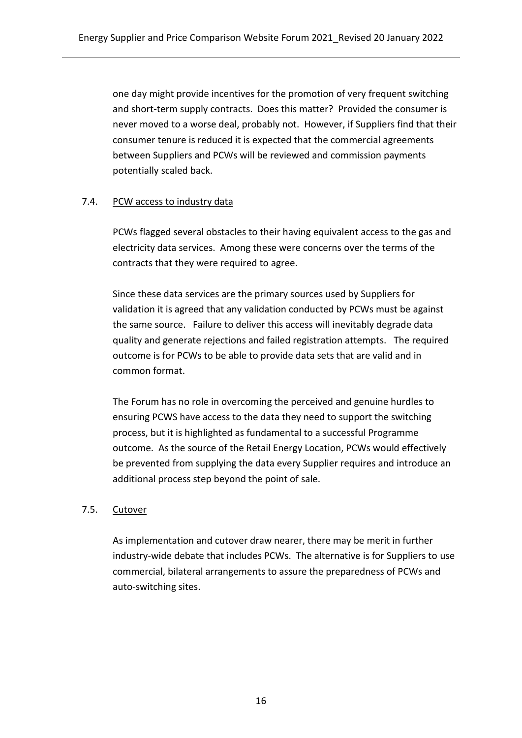one day might provide incentives for the promotion of very frequent switching and short-term supply contracts. Does this matter? Provided the consumer is never moved to a worse deal, probably not. However, if Suppliers find that their consumer tenure is reduced it is expected that the commercial agreements between Suppliers and PCWs will be reviewed and commission payments potentially scaled back.

# 7.4. PCW access to industry data

PCWs flagged several obstacles to their having equivalent access to the gas and electricity data services. Among these were concerns over the terms of the contracts that they were required to agree.

Since these data services are the primary sources used by Suppliers for validation it is agreed that any validation conducted by PCWs must be against the same source. Failure to deliver this access will inevitably degrade data quality and generate rejections and failed registration attempts. The required outcome is for PCWs to be able to provide data sets that are valid and in common format.

The Forum has no role in overcoming the perceived and genuine hurdles to ensuring PCWS have access to the data they need to support the switching process, but it is highlighted as fundamental to a successful Programme outcome. As the source of the Retail Energy Location, PCWs would effectively be prevented from supplying the data every Supplier requires and introduce an additional process step beyond the point of sale.

#### 7.5. Cutover

As implementation and cutover draw nearer, there may be merit in further industry-wide debate that includes PCWs. The alternative is for Suppliers to use commercial, bilateral arrangements to assure the preparedness of PCWs and auto-switching sites.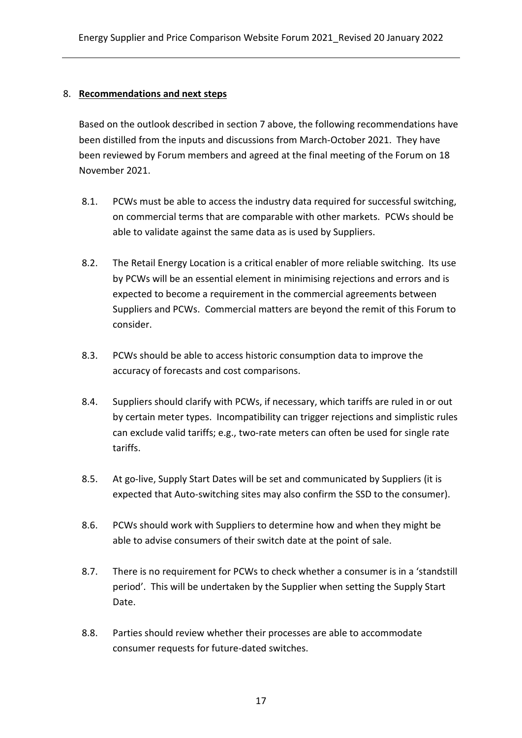#### 8. **Recommendations and next steps**

Based on the outlook described in section 7 above, the following recommendations have been distilled from the inputs and discussions from March-October 2021. They have been reviewed by Forum members and agreed at the final meeting of the Forum on 18 November 2021.

- 8.1. PCWs must be able to access the industry data required for successful switching, on commercial terms that are comparable with other markets. PCWs should be able to validate against the same data as is used by Suppliers.
- 8.2. The Retail Energy Location is a critical enabler of more reliable switching. Its use by PCWs will be an essential element in minimising rejections and errors and is expected to become a requirement in the commercial agreements between Suppliers and PCWs. Commercial matters are beyond the remit of this Forum to consider.
- 8.3. PCWs should be able to access historic consumption data to improve the accuracy of forecasts and cost comparisons.
- 8.4. Suppliers should clarify with PCWs, if necessary, which tariffs are ruled in or out by certain meter types. Incompatibility can trigger rejections and simplistic rules can exclude valid tariffs; e.g., two-rate meters can often be used for single rate tariffs.
- 8.5. At go-live, Supply Start Dates will be set and communicated by Suppliers (it is expected that Auto-switching sites may also confirm the SSD to the consumer).
- 8.6. PCWs should work with Suppliers to determine how and when they might be able to advise consumers of their switch date at the point of sale.
- 8.7. There is no requirement for PCWs to check whether a consumer is in a 'standstill period'. This will be undertaken by the Supplier when setting the Supply Start Date.
- 8.8. Parties should review whether their processes are able to accommodate consumer requests for future-dated switches.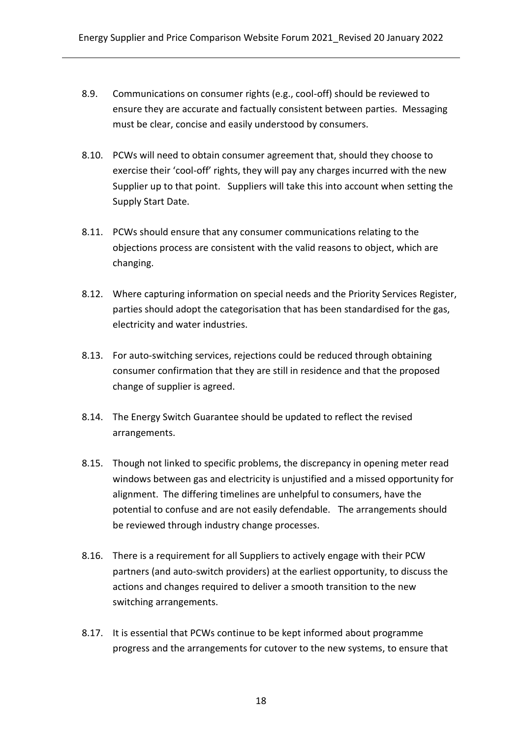- 8.9. Communications on consumer rights (e.g., cool-off) should be reviewed to ensure they are accurate and factually consistent between parties. Messaging must be clear, concise and easily understood by consumers.
- 8.10. PCWs will need to obtain consumer agreement that, should they choose to exercise their 'cool-off' rights, they will pay any charges incurred with the new Supplier up to that point. Suppliers will take this into account when setting the Supply Start Date.
- 8.11. PCWs should ensure that any consumer communications relating to the objections process are consistent with the valid reasons to object, which are changing.
- 8.12. Where capturing information on special needs and the Priority Services Register, parties should adopt the categorisation that has been standardised for the gas, electricity and water industries.
- 8.13. For auto-switching services, rejections could be reduced through obtaining consumer confirmation that they are still in residence and that the proposed change of supplier is agreed.
- 8.14. The Energy Switch Guarantee should be updated to reflect the revised arrangements.
- 8.15. Though not linked to specific problems, the discrepancy in opening meter read windows between gas and electricity is unjustified and a missed opportunity for alignment. The differing timelines are unhelpful to consumers, have the potential to confuse and are not easily defendable. The arrangements should be reviewed through industry change processes.
- 8.16. There is a requirement for all Suppliers to actively engage with their PCW partners (and auto-switch providers) at the earliest opportunity, to discuss the actions and changes required to deliver a smooth transition to the new switching arrangements.
- 8.17. It is essential that PCWs continue to be kept informed about programme progress and the arrangements for cutover to the new systems, to ensure that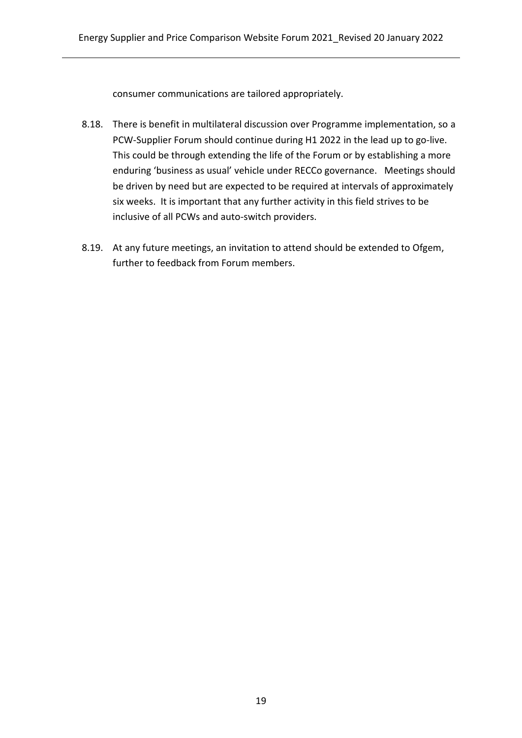consumer communications are tailored appropriately.

- 8.18. There is benefit in multilateral discussion over Programme implementation, so a PCW-Supplier Forum should continue during H1 2022 in the lead up to go-live. This could be through extending the life of the Forum or by establishing a more enduring 'business as usual' vehicle under RECCo governance. Meetings should be driven by need but are expected to be required at intervals of approximately six weeks. It is important that any further activity in this field strives to be inclusive of all PCWs and auto-switch providers.
- 8.19. At any future meetings, an invitation to attend should be extended to Ofgem, further to feedback from Forum members.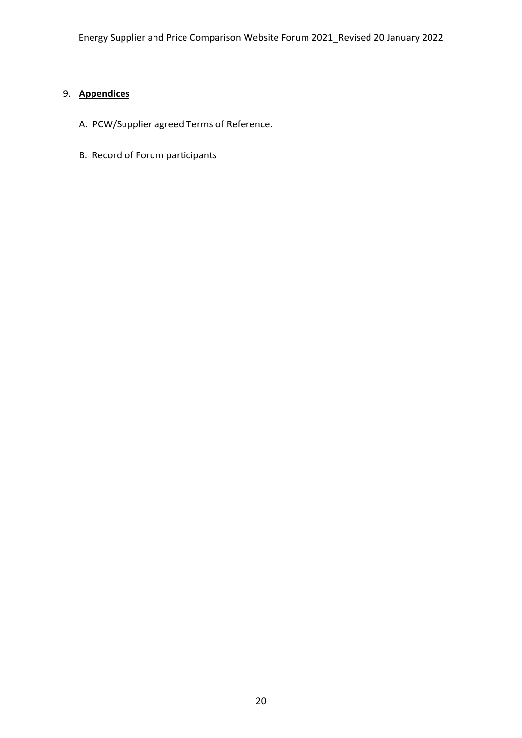# 9. **Appendices**

- A. PCW/Supplier agreed Terms of Reference.
- B. Record of Forum participants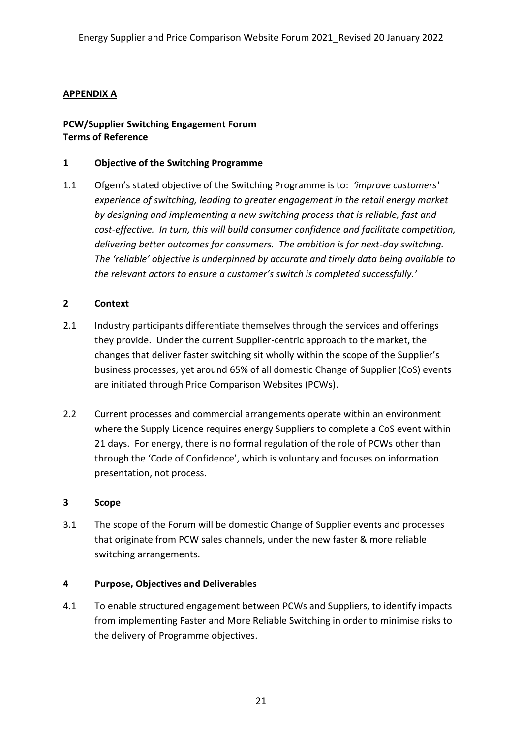# **APPENDIX A**

#### **PCW/Supplier Switching Engagement Forum Terms of Reference**

#### **1 Objective of the Switching Programme**

1.1 Ofgem's stated objective of the Switching Programme is to: *'improve customers' experience of switching, leading to greater engagement in the retail energy market by designing and implementing a new switching process that is reliable, fast and cost-effective. In turn, this will build consumer confidence and facilitate competition, delivering better outcomes for consumers. The ambition is for next-day switching. The 'reliable' objective is underpinned by accurate and timely data being available to the relevant actors to ensure a customer's switch is completed successfully.'*

# **2 Context**

- 2.1 Industry participants differentiate themselves through the services and offerings they provide. Under the current Supplier-centric approach to the market, the changes that deliver faster switching sit wholly within the scope of the Supplier's business processes, yet around 65% of all domestic Change of Supplier (CoS) events are initiated through Price Comparison Websites (PCWs).
- 2.2 Current processes and commercial arrangements operate within an environment where the Supply Licence requires energy Suppliers to complete a CoS event within 21 days. For energy, there is no formal regulation of the role of PCWs other than through the 'Code of Confidence', which is voluntary and focuses on information presentation, not process.

#### **3 Scope**

3.1 The scope of the Forum will be domestic Change of Supplier events and processes that originate from PCW sales channels, under the new faster & more reliable switching arrangements.

#### **4 Purpose, Objectives and Deliverables**

4.1 To enable structured engagement between PCWs and Suppliers, to identify impacts from implementing Faster and More Reliable Switching in order to minimise risks to the delivery of Programme objectives.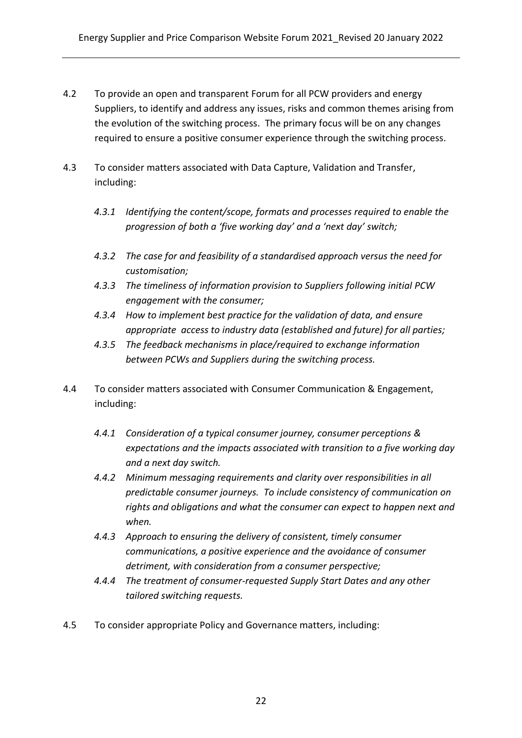- 4.2 To provide an open and transparent Forum for all PCW providers and energy Suppliers, to identify and address any issues, risks and common themes arising from the evolution of the switching process. The primary focus will be on any changes required to ensure a positive consumer experience through the switching process.
- 4.3 To consider matters associated with Data Capture, Validation and Transfer, including:
	- *4.3.1 Identifying the content/scope, formats and processes required to enable the progression of both a 'five working day' and a 'next day' switch;*
	- *4.3.2 The case for and feasibility of a standardised approach versus the need for customisation;*
	- *4.3.3 The timeliness of information provision to Suppliers following initial PCW engagement with the consumer;*
	- *4.3.4 How to implement best practice for the validation of data, and ensure appropriate access to industry data (established and future) for all parties;*
	- *4.3.5 The feedback mechanisms in place/required to exchange information between PCWs and Suppliers during the switching process.*
- 4.4 To consider matters associated with Consumer Communication & Engagement, including:
	- *4.4.1 Consideration of a typical consumer journey, consumer perceptions & expectations and the impacts associated with transition to a five working day and a next day switch.*
	- *4.4.2 Minimum messaging requirements and clarity over responsibilities in all predictable consumer journeys. To include consistency of communication on rights and obligations and what the consumer can expect to happen next and when.*
	- *4.4.3 Approach to ensuring the delivery of consistent, timely consumer communications, a positive experience and the avoidance of consumer detriment, with consideration from a consumer perspective;*
	- *4.4.4 The treatment of consumer-requested Supply Start Dates and any other tailored switching requests.*
- 4.5 To consider appropriate Policy and Governance matters, including: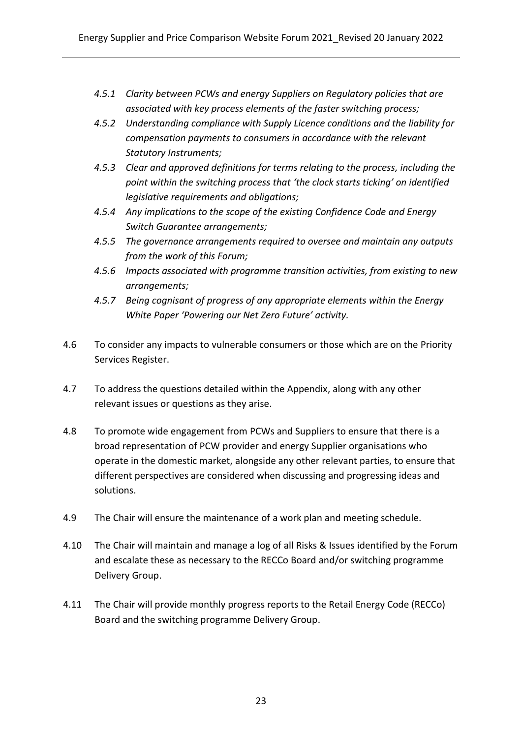- *4.5.1 Clarity between PCWs and energy Suppliers on Regulatory policies that are associated with key process elements of the faster switching process;*
- *4.5.2 Understanding compliance with Supply Licence conditions and the liability for compensation payments to consumers in accordance with the relevant Statutory Instruments;*
- *4.5.3 Clear and approved definitions for terms relating to the process, including the point within the switching process that 'the clock starts ticking' on identified legislative requirements and obligations;*
- *4.5.4 Any implications to the scope of the existing Confidence Code and Energy Switch Guarantee arrangements;*
- *4.5.5 The governance arrangements required to oversee and maintain any outputs from the work of this Forum;*
- *4.5.6 Impacts associated with programme transition activities, from existing to new arrangements;*
- *4.5.7 Being cognisant of progress of any appropriate elements within the Energy White Paper 'Powering our Net Zero Future' activity.*
- 4.6 To consider any impacts to vulnerable consumers or those which are on the Priority Services Register.
- 4.7 To address the questions detailed within the Appendix, along with any other relevant issues or questions as they arise.
- 4.8 To promote wide engagement from PCWs and Suppliers to ensure that there is a broad representation of PCW provider and energy Supplier organisations who operate in the domestic market, alongside any other relevant parties, to ensure that different perspectives are considered when discussing and progressing ideas and solutions.
- 4.9 The Chair will ensure the maintenance of a work plan and meeting schedule.
- 4.10 The Chair will maintain and manage a log of all Risks & Issues identified by the Forum and escalate these as necessary to the RECCo Board and/or switching programme Delivery Group.
- 4.11 The Chair will provide monthly progress reports to the Retail Energy Code (RECCo) Board and the switching programme Delivery Group.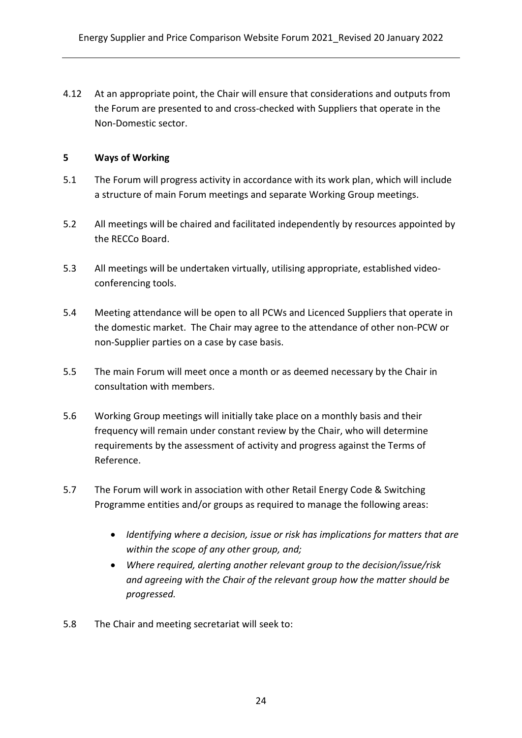4.12 At an appropriate point, the Chair will ensure that considerations and outputs from the Forum are presented to and cross-checked with Suppliers that operate in the Non-Domestic sector.

#### **5 Ways of Working**

- 5.1 The Forum will progress activity in accordance with its work plan, which will include a structure of main Forum meetings and separate Working Group meetings.
- 5.2 All meetings will be chaired and facilitated independently by resources appointed by the RECCo Board.
- 5.3 All meetings will be undertaken virtually, utilising appropriate, established videoconferencing tools.
- 5.4 Meeting attendance will be open to all PCWs and Licenced Suppliers that operate in the domestic market. The Chair may agree to the attendance of other non-PCW or non-Supplier parties on a case by case basis.
- 5.5 The main Forum will meet once a month or as deemed necessary by the Chair in consultation with members.
- 5.6 Working Group meetings will initially take place on a monthly basis and their frequency will remain under constant review by the Chair, who will determine requirements by the assessment of activity and progress against the Terms of Reference.
- 5.7 The Forum will work in association with other Retail Energy Code & Switching Programme entities and/or groups as required to manage the following areas:
	- *Identifying where a decision, issue or risk has implications for matters that are within the scope of any other group, and;*
	- *Where required, alerting another relevant group to the decision/issue/risk and agreeing with the Chair of the relevant group how the matter should be progressed.*
- 5.8 The Chair and meeting secretariat will seek to: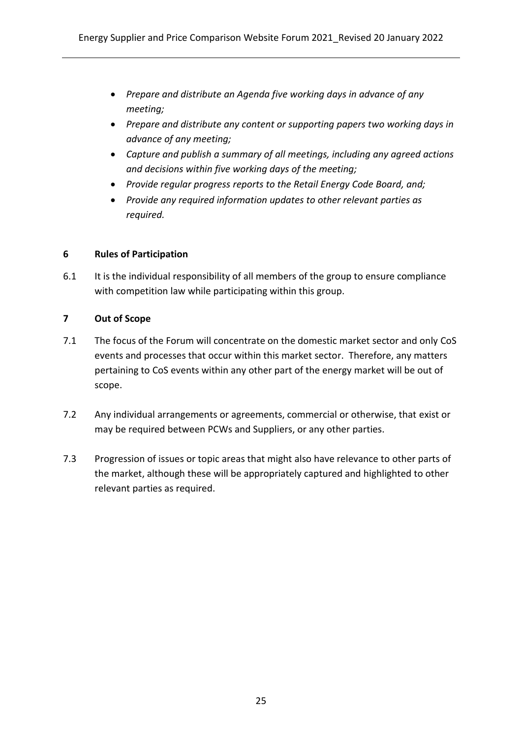- *Prepare and distribute an Agenda five working days in advance of any meeting;*
- *Prepare and distribute any content or supporting papers two working days in advance of any meeting;*
- *Capture and publish a summary of all meetings, including any agreed actions and decisions within five working days of the meeting;*
- *Provide regular progress reports to the Retail Energy Code Board, and;*
- *Provide any required information updates to other relevant parties as required.*

#### **6 Rules of Participation**

6.1 It is the individual responsibility of all members of the group to ensure compliance with competition law while participating within this group.

#### **7 Out of Scope**

- 7.1 The focus of the Forum will concentrate on the domestic market sector and only CoS events and processes that occur within this market sector. Therefore, any matters pertaining to CoS events within any other part of the energy market will be out of scope.
- 7.2 Any individual arrangements or agreements, commercial or otherwise, that exist or may be required between PCWs and Suppliers, or any other parties.
- 7.3 Progression of issues or topic areas that might also have relevance to other parts of the market, although these will be appropriately captured and highlighted to other relevant parties as required.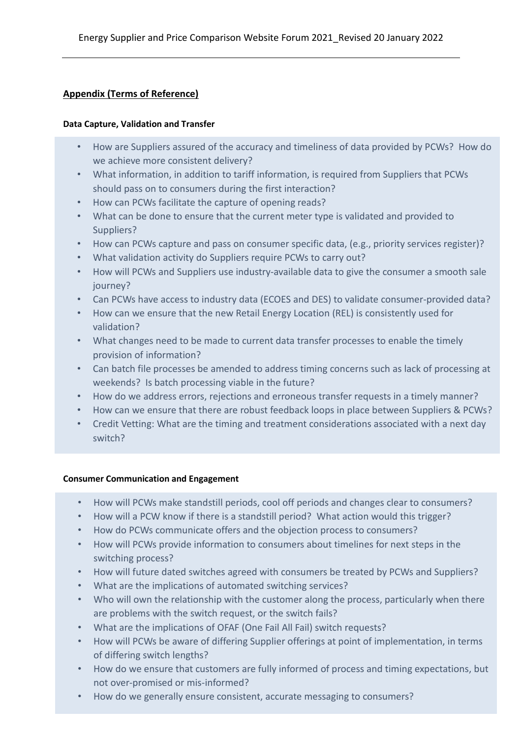#### **Appendix (Terms of Reference)**

#### **Data Capture, Validation and Transfer**

- How are Suppliers assured of the accuracy and timeliness of data provided by PCWs? How do we achieve more consistent delivery?
- What information, in addition to tariff information, is required from Suppliers that PCWs should pass on to consumers during the first interaction?
- How can PCWs facilitate the capture of opening reads?
- What can be done to ensure that the current meter type is validated and provided to Suppliers?
- How can PCWs capture and pass on consumer specific data, (e.g., priority services register)?
- What validation activity do Suppliers require PCWs to carry out?
- How will PCWs and Suppliers use industry-available data to give the consumer a smooth sale journey?
- Can PCWs have access to industry data (ECOES and DES) to validate consumer-provided data?
- How can we ensure that the new Retail Energy Location (REL) is consistently used for validation?
- What changes need to be made to current data transfer processes to enable the timely provision of information?
- Can batch file processes be amended to address timing concerns such as lack of processing at weekends? Is batch processing viable in the future?
- How do we address errors, rejections and erroneous transfer requests in a timely manner?
- How can we ensure that there are robust feedback loops in place between Suppliers & PCWs?
- Credit Vetting: What are the timing and treatment considerations associated with a next day switch?

#### **Consumer Communication and Engagement**

- How will PCWs make standstill periods, cool off periods and changes clear to consumers?
- How will a PCW know if there is a standstill period? What action would this trigger?
- How do PCWs communicate offers and the objection process to consumers?
- How will PCWs provide information to consumers about timelines for next steps in the switching process?
- How will future dated switches agreed with consumers be treated by PCWs and Suppliers?
- What are the implications of automated switching services?
- Who will own the relationship with the customer along the process, particularly when there are problems with the switch request, or the switch fails?
- What are the implications of OFAF (One Fail All Fail) switch requests?
- How will PCWs be aware of differing Supplier offerings at point of implementation, in terms of differing switch lengths?
- How do we ensure that customers are fully informed of process and timing expectations, but not over-promised or mis-informed?
- 26 How do we generally ensure consistent, accurate messaging to consumers?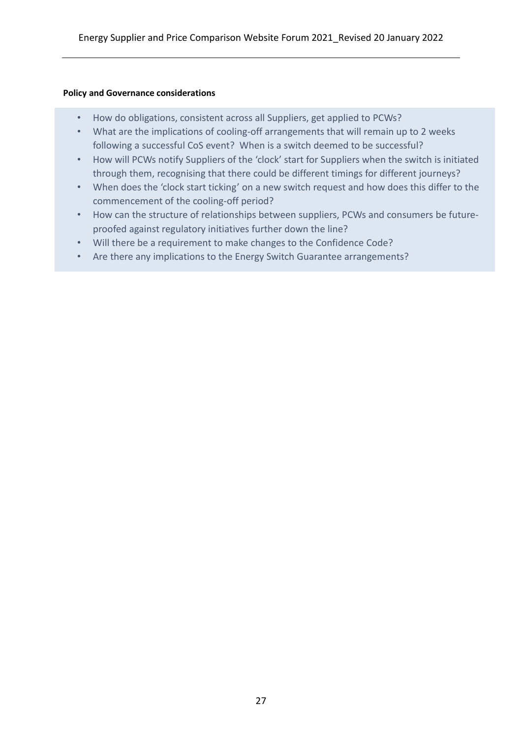#### **Policy and Governance considerations**

- How do obligations, consistent across all Suppliers, get applied to PCWs?
- What are the implications of cooling-off arrangements that will remain up to 2 weeks following a successful CoS event? When is a switch deemed to be successful?
- How will PCWs notify Suppliers of the 'clock' start for Suppliers when the switch is initiated through them, recognising that there could be different timings for different journeys?
- When does the 'clock start ticking' on a new switch request and how does this differ to the commencement of the cooling-off period?
- How can the structure of relationships between suppliers, PCWs and consumers be futureproofed against regulatory initiatives further down the line?
- Will there be a requirement to make changes to the Confidence Code?
- Are there any implications to the Energy Switch Guarantee arrangements?